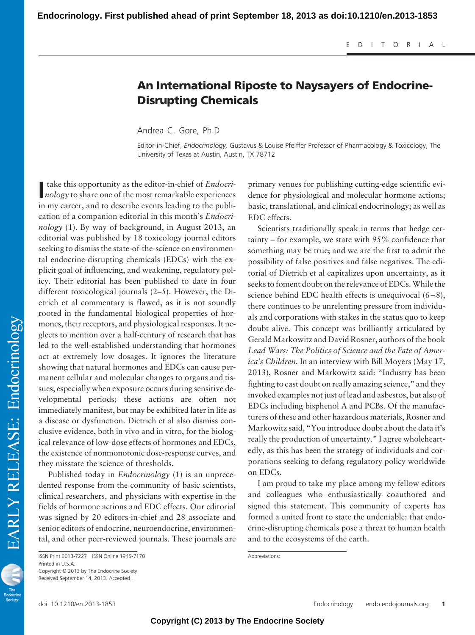## **An International Riposte to Naysayers of Endocrine-Disrupting Chemicals**

Andrea C. Gore, Ph.D

Editor-in-Chief, *Endocrinology,* Gustavus & Louise Pfeiffer Professor of Pharmacology & Toxicology, The University of Texas at Austin, Austin, TX 78712

*nology* (1). By way of background, in August 2013, an editorial was published by 18 toxicology journal editors seeking to dismiss the state-of-the-science on environmental endocrine-disrupting chemicals (EDCs) with the explicit goal of influencing, and weakening, regulatory policy. Their editorial has been published to date in four different toxicological journals (2–5). However, the Dietrich et al commentary is flawed, as it is not soundly rooted in the fundamental biological properties of hormones, their receptors, and physiological responses. It neglects to mention over a half-century of research that has led to the well-established understanding that hormones act at extremely low dosages. It ignores the literature showing that natural hormones and EDCs can cause permanent cellular and molecular changes to organs and tissues, especially when exposure occurs during sensitive developmental periods; these actions are often not immediately manifest, but may be exhibited later in life as a disease or dysfunction. Dietrich et al also dismiss conclusive evidence, both in vivo and in vitro, for the biological relevance of low-dose effects of hormones and EDCs, the existence of nonmonotonic dose-response curves, and they misstate the science of thresholds. Published today in *Endocrinology* (1) is an unprece-

**I** take this opportunity as the editor-in-chief of *Endocrinology* to share one of the most remarkable experiences take this opportunity as the editor-in-chief of *Endocri-*

in my career, and to describe events leading to the publication of a companion editorial in this month's *Endocri-*

dented response from the community of basic scientists, clinical researchers, and physicians with expertise in the fields of hormone actions and EDC effects. Our editorial was signed by 20 editors-in-chief and 28 associate and senior editors of endocrine, neuroendocrine, environmental, and other peer-reviewed journals. These journals are primary venues for publishing cutting-edge scientific evidence for physiological and molecular hormone actions; basic, translational, and clinical endocrinology; as well as EDC effects.

Scientists traditionally speak in terms that hedge certainty – for example, we state with 95% confidence that something may be true; and we are the first to admit the possibility of false positives and false negatives. The editorial of Dietrich et al capitalizes upon uncertainty, as it seeks to foment doubt on the relevance of EDCs.While the science behind EDC health effects is unequivocal  $(6-8)$ , there continues to be unrelenting pressure from individuals and corporations with stakes in the status quo to keep doubt alive. This concept was brilliantly articulated by GeraldMarkowitz and David Rosner, authors of the book *Lead Wars: The Politics of Science and the Fate of America's Children.* In an interview with Bill Moyers (May 17, 2013), Rosner and Markowitz said: "Industry has been fighting to cast doubt on really amazing science," and they invoked examples not just of lead and asbestos, but also of EDCs including bisphenol A and PCBs. Of the manufacturers of these and other hazardous materials, Rosner and Markowitz said, "You introduce doubt about the data it's really the production of uncertainty." I agree wholeheartedly, as this has been the strategy of individuals and corporations seeking to defang regulatory policy worldwide on EDCs.

I am proud to take my place among my fellow editors and colleagues who enthusiastically coauthored and signed this statement. This community of experts has formed a united front to state the undeniable: that endocrine-disrupting chemicals pose a threat to human health and to the ecosystems of the earth.

Abbreviations:



ISSN Print 0013-7227 ISSN Online 1945-7170 Printed in U.S.A. Copyright © 2013 by The Endocrine Society Received September 14, 2013. Accepted .